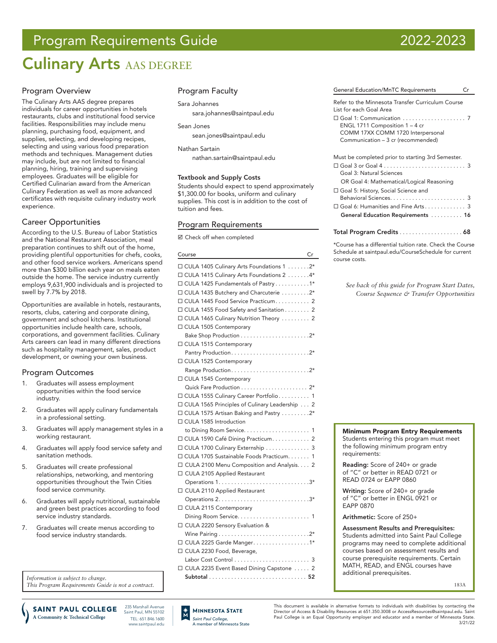# Program Requirements Guide 2022-2023

# **Culinary Arts AAS DEGREE**

## Program Overview

The Culinary Arts AAS degree prepares individuals for career opportunities in hotels restaurants, clubs and institutional food service facilities. Responsibilities may include menu planning, purchasing food, equipment, and supplies, selecting, and developing recipes, selecting and using various food preparation methods and techniques. Management duties may include, but are not limited to financial planning, hiring, training and supervising employees. Graduates will be eligible for Certified Culinarian award from the American Culinary Federation as well as more advanced certificates with requisite culinary industry work experience.

## Career Opportunities

According to the U.S. Bureau of Labor Statistics and the National Restaurant Association, meal preparation continues to shift out of the home, providing plentiful opportunities for chefs, cooks, and other food service workers. Americans spend more than \$300 billion each year on meals eaten outside the home. The service industry currently employs 9,631,900 individuals and is projected to swell by 7.7% by 2018.

Opportunities are available in hotels, restaurants, resorts, clubs, catering and corporate dining, government and school kitchens. Institutional opportunities include health care, schools, corporations, and government facilities. Culinary Arts careers can lead in many different directions such as hospitality management, sales, product development, or owning your own business.

## Program Outcomes

- 1. Graduates will assess employment opportunities within the food service industry.
- 2. Graduates will apply culinary fundamentals in a professional setting.
- 3. Graduates will apply management styles in a working restaurant.
- 4. Graduates will apply food service safety and sanitation methods.
- 5. Graduates will create professional relationships, networking, and mentoring opportunities throughout the Twin Cities food service community.
- 6. Graduates will apply nutritional, sustainable and green best practices according to food service industry standards.
- 7. Graduates will create menus according to food service industry standards.

*Information is subject to change. This Program Requirements Guide is not a contract.*

235 Marshall Avenue **SAINT PAUL COLLEGE** Saint Paul, MN 55102 A Community & Technical College TEL: 651.846.1600 www.saintpaul.edu

## Program Faculty

### Sara Johannes

sara.johannes@saintpaul.edu

### Sean Jones

[sean.jones@saintpaul.edu](mailto:sean.jones%40saintpaul.edu%20?subject=)

### Nathan Sartain

[nathan.sartain@saintpaul.edu](mailto:nathan.sartain%40saintpaul.edu?subject=)

### Textbook and Supply Costs

Students should expect to spend approximately \$1,300.00 for books, uniform and culinary supplies. This cost is in addition to the cost of tuition and fees.

## Program Requirements

Check off when completed

| Course                                          | Cr |
|-------------------------------------------------|----|
| □ CULA 1405 Culinary Arts Foundations 1 2*      |    |
| □ CULA 1415 Culinary Arts Foundations 2 4*      |    |
| □ CULA 1425 Fundamentals of Pastry 1*           |    |
| □ CULA 1435 Butchery and Charcuterie 2*         |    |
| □ CULA 1445 Food Service Practicum 2            |    |
| □ CULA 1455 Food Safety and Sanitation 2        |    |
| □ CULA 1465 Culinary Nutrition Theory  2        |    |
| □ CULA 1505 Contemporary                        |    |
|                                                 |    |
| □ CULA 1515 Contemporary                        |    |
|                                                 |    |
| □ CULA 1525 Contemporary                        |    |
|                                                 |    |
| □ CULA 1545 Contemporary                        |    |
|                                                 |    |
| □ CULA 1555 Culinary Career Portfolio 1         |    |
| □ CULA 1565 Principles of Culinary Leadership 2 |    |
| □ CULA 1575 Artisan Baking and Pastry 2*        |    |
| □ CULA 1585 Introduction                        |    |
|                                                 |    |
| □ CULA 1590 Café Dining Practicum 2             |    |
| □ CULA 1700 Culinary Externship 3               |    |
| □ CULA 1705 Sustainable Foods Practicum. 1      |    |
| □ CULA 2100 Menu Composition and Analysis. 2    |    |
| □ CULA 2105 Applied Restaurant                  |    |
|                                                 |    |
| □ CULA 2110 Applied Restaurant                  |    |
|                                                 |    |
| □ CULA 2115 Contemporary                        |    |
|                                                 |    |
| □ CULA 2220 Sensory Evaluation &                |    |
|                                                 |    |
| □ CULA 2225 Garde Manger. 1*                    |    |
| □ CULA 2230 Food, Beverage,                     |    |
|                                                 |    |
| □ CULA 2235 Event Based Dining Capstone  2      |    |
|                                                 |    |

*Saint Paul College,* A member of Minnesota State

**MINNESOTA STATE** 

| <b>General Education/MnTC Requirements</b>        | $C$ r |
|---------------------------------------------------|-------|
| Refer to the Minnesota Transfer Curriculum Course |       |

| List for each Goal Area                                                                                     |
|-------------------------------------------------------------------------------------------------------------|
| ENGL 1711 Composition $1 - 4$ cr<br>COMM 17XX COMM 1720 Interpersonal<br>Communication - 3 cr (recommended) |
| Must be completed prior to starting 3rd Semester.                                                           |

| $\square$ Goal 3 or Goal 4 $\ldots \ldots \ldots \ldots \ldots \ldots \ldots 3$ |  |
|---------------------------------------------------------------------------------|--|
| Goal 3: Natural Sciences                                                        |  |
| OR Goal 4: Mathematical/Logical Reasoning                                       |  |
| □ Goal 5: History, Social Science and                                           |  |
|                                                                                 |  |
| □ Goal 6: Humanities and Fine Arts 3                                            |  |
| General Education Requirements  16                                              |  |
|                                                                                 |  |

### Total Program Credits. . . . . . . . . . . . . . . . . . 68

\*Course has a differential tuition rate. Check the Course Schedule at saintpaul.edu/CourseSchedule for current course costs.

*See back of this guide for Program Start Dates, Course Sequence & Transfer Opportunities*



the following minimum program entry requirements:

Reading: Score of 240+ or grade of "C" or better in READ 0721 or READ 0724 or EAPP 0860

Writing: Score of 240+ or grade of "C" or better in ENGL 0921 or EAPP 0870

Arithmetic: Score of 250+

Assessment Results and Prerequisites: Students admitted into Saint Paul College programs may need to complete additional courses based on assessment results and course prerequisite requirements. Certain MATH, READ, and ENGL courses have additional prerequisites.

183A

This document is available in alternative formats to individuals with disabilities by contacting the Director of Access & Disability Resources at 651.350.3008 or AccessResources@saintpaul.edu. Saint Paul College is an Equal Opportunity employer and educator and a member of Minnesota State.

3/21/22